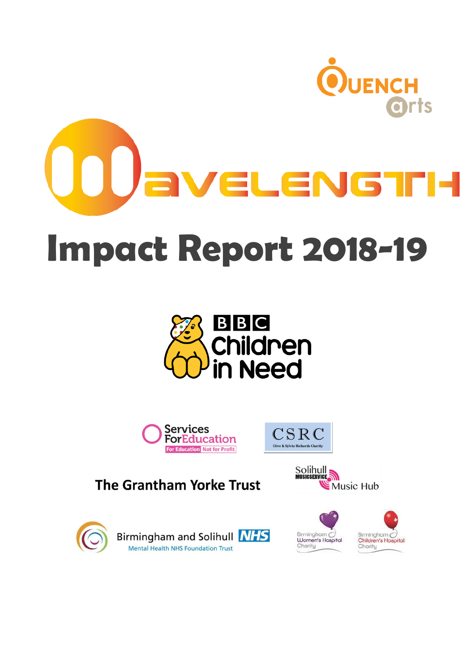



# **Impact Report 2018-19**







**The Grantham Yorke Trust** 





Birmingham and Solihull **NHS** Mental Health NHS Foundation Trust



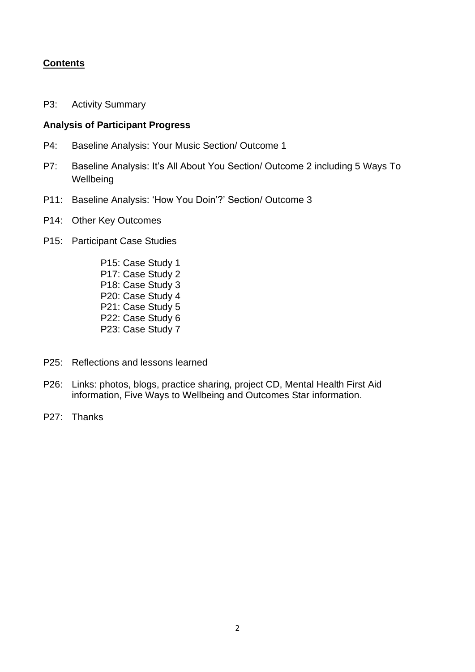# **Contents**

P3: Activity Summary

#### **Analysis of Participant Progress**

- P4: Baseline Analysis: Your Music Section/ Outcome 1
- P7: Baseline Analysis: It's All About You Section/ Outcome 2 including 5 Ways To **Wellbeing**
- P11: Baseline Analysis: 'How You Doin'?' Section/ Outcome 3
- P14: Other Key Outcomes
- P15: Participant Case Studies
	- P15: Case Study 1 P17: Case Study 2 P18: Case Study 3 P20: Case Study 4 P21: Case Study 5 P22: Case Study 6 P23: Case Study 7
- P25: Reflections and lessons learned
- P26: Links: photos, blogs, practice sharing, project CD, Mental Health First Aid information, Five Ways to Wellbeing and Outcomes Star information.
- P27: Thanks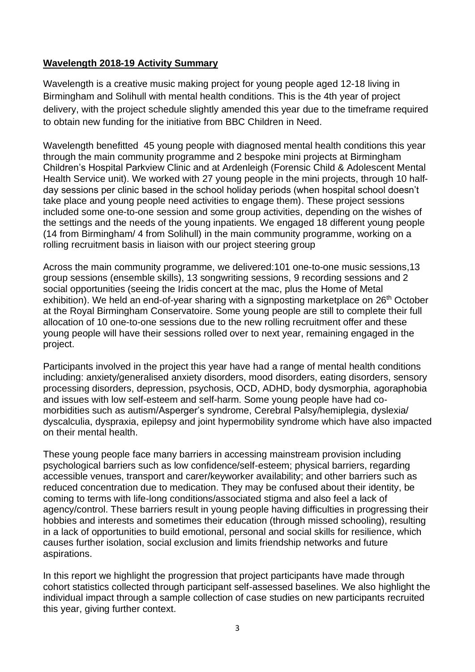# **Wavelength 2018-19 Activity Summary**

Wavelength is a creative music making project for young people aged 12-18 living in Birmingham and Solihull with mental health conditions. This is the 4th year of project delivery, with the project schedule slightly amended this year due to the timeframe required to obtain new funding for the initiative from BBC Children in Need.

Wavelength benefitted 45 young people with diagnosed mental health conditions this year through the main community programme and 2 bespoke mini projects at Birmingham Children's Hospital Parkview Clinic and at Ardenleigh (Forensic Child & Adolescent Mental Health Service unit). We worked with 27 young people in the mini projects, through 10 halfday sessions per clinic based in the school holiday periods (when hospital school doesn't take place and young people need activities to engage them). These project sessions included some one-to-one session and some group activities, depending on the wishes of the settings and the needs of the young inpatients. We engaged 18 different young people (14 from Birmingham/ 4 from Solihull) in the main community programme, working on a rolling recruitment basis in liaison with our project steering group

Across the main community programme, we delivered:101 one-to-one music sessions,13 group sessions (ensemble skills), 13 songwriting sessions, 9 recording sessions and 2 social opportunities (seeing the Iridis concert at the mac, plus the Home of Metal exhibition). We held an end-of-year sharing with a signposting marketplace on 26<sup>th</sup> October at the Royal Birmingham Conservatoire. Some young people are still to complete their full allocation of 10 one-to-one sessions due to the new rolling recruitment offer and these young people will have their sessions rolled over to next year, remaining engaged in the project.

Participants involved in the project this year have had a range of mental health conditions including: anxiety/generalised anxiety disorders, mood disorders, eating disorders, sensory processing disorders, depression, psychosis, OCD, ADHD, body dysmorphia, agoraphobia and issues with low self-esteem and self-harm. Some young people have had comorbidities such as autism/Asperger's syndrome, Cerebral Palsy/hemiplegia, dyslexia/ dyscalculia, dyspraxia, epilepsy and joint hypermobility syndrome which have also impacted on their mental health.

These young people face many barriers in accessing mainstream provision including psychological barriers such as low confidence/self-esteem; physical barriers, regarding accessible venues, transport and carer/keyworker availability; and other barriers such as reduced concentration due to medication. They may be confused about their identity, be coming to terms with life-long conditions/associated stigma and also feel a lack of agency/control. These barriers result in young people having difficulties in progressing their hobbies and interests and sometimes their education (through missed schooling), resulting in a lack of opportunities to build emotional, personal and social skills for resilience, which causes further isolation, social exclusion and limits friendship networks and future aspirations.

In this report we highlight the progression that project participants have made through cohort statistics collected through participant self-assessed baselines. We also highlight the individual impact through a sample collection of case studies on new participants recruited this year, giving further context.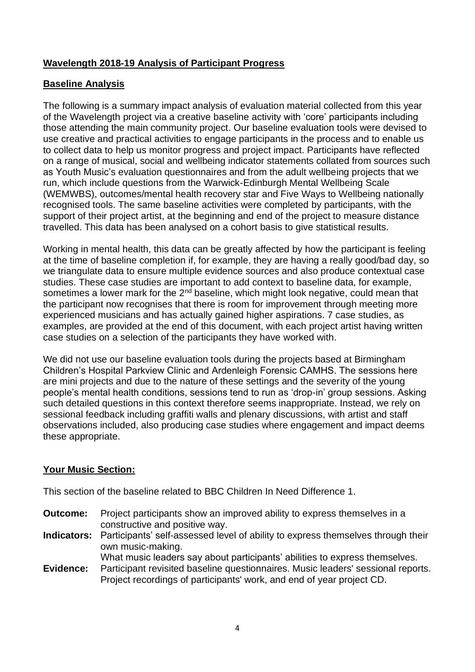# **Wavelength 2018-19 Analysis of Participant Progress**

# **Baseline Analysis**

The following is a summary impact analysis of evaluation material collected from this year of the Wavelength project via a creative baseline activity with 'core' participants including those attending the main community project. Our baseline evaluation tools were devised to use creative and practical activities to engage participants in the process and to enable us to collect data to help us monitor progress and project impact. Participants have reflected on a range of musical, social and wellbeing indicator statements collated from sources such as Youth Music's evaluation questionnaires and from the adult wellbeing projects that we run, which include questions from the Warwick-Edinburgh Mental Wellbeing Scale (WEMWBS), outcomes/mental health recovery star and Five Ways to Wellbeing nationally recognised tools. The same baseline activities were completed by participants, with the support of their project artist, at the beginning and end of the project to measure distance travelled. This data has been analysed on a cohort basis to give statistical results.

Working in mental health, this data can be greatly affected by how the participant is feeling at the time of baseline completion if, for example, they are having a really good/bad day, so we triangulate data to ensure multiple evidence sources and also produce contextual case studies. These case studies are important to add context to baseline data, for example, sometimes a lower mark for the  $2<sup>nd</sup>$  baseline, which might look negative, could mean that the participant now recognises that there is room for improvement through meeting more experienced musicians and has actually gained higher aspirations. 7 case studies, as examples, are provided at the end of this document, with each project artist having written case studies on a selection of the participants they have worked with.

We did not use our baseline evaluation tools during the projects based at Birmingham Children's Hospital Parkview Clinic and Ardenleigh Forensic CAMHS. The sessions here are mini projects and due to the nature of these settings and the severity of the young people's mental health conditions, sessions tend to run as 'drop-in' group sessions. Asking such detailed questions in this context therefore seems inappropriate. Instead, we rely on sessional feedback including graffiti walls and plenary discussions, with artist and staff observations included, also producing case studies where engagement and impact deems these appropriate.

## **Your Music Section:**

This section of the baseline related to BBC Children In Need Difference 1.

- **Outcome:** Project participants show an improved ability to express themselves in a constructive and positive way.
- **Indicators:** Participants' self-assessed level of ability to express themselves through their own music-making.
	- What music leaders say about participants' abilities to express themselves.
- **Evidence:** Participant revisited baseline questionnaires. Music leaders' sessional reports. Project recordings of participants' work, and end of year project CD.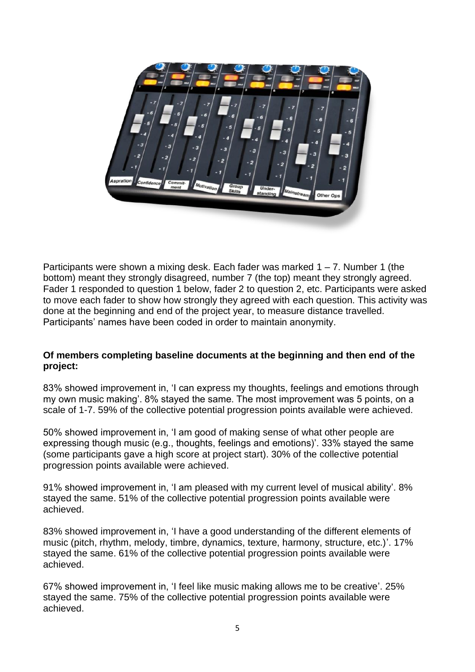

Participants were shown a mixing desk. Each fader was marked  $1 - 7$ . Number 1 (the bottom) meant they strongly disagreed, number 7 (the top) meant they strongly agreed. Fader 1 responded to question 1 below, fader 2 to question 2, etc. Participants were asked to move each fader to show how strongly they agreed with each question. This activity was done at the beginning and end of the project year, to measure distance travelled. Participants' names have been coded in order to maintain anonymity.

# **Of members completing baseline documents at the beginning and then end of the project:**

83% showed improvement in, 'I can express my thoughts, feelings and emotions through my own music making'. 8% stayed the same. The most improvement was 5 points, on a scale of 1-7. 59% of the collective potential progression points available were achieved.

50% showed improvement in, 'I am good of making sense of what other people are expressing though music (e.g., thoughts, feelings and emotions)'. 33% stayed the same (some participants gave a high score at project start). 30% of the collective potential progression points available were achieved.

91% showed improvement in, 'I am pleased with my current level of musical ability'. 8% stayed the same. 51% of the collective potential progression points available were achieved.

83% showed improvement in, 'I have a good understanding of the different elements of music (pitch, rhythm, melody, timbre, dynamics, texture, harmony, structure, etc.)'. 17% stayed the same. 61% of the collective potential progression points available were achieved.

67% showed improvement in, 'I feel like music making allows me to be creative'. 25% stayed the same. 75% of the collective potential progression points available were achieved.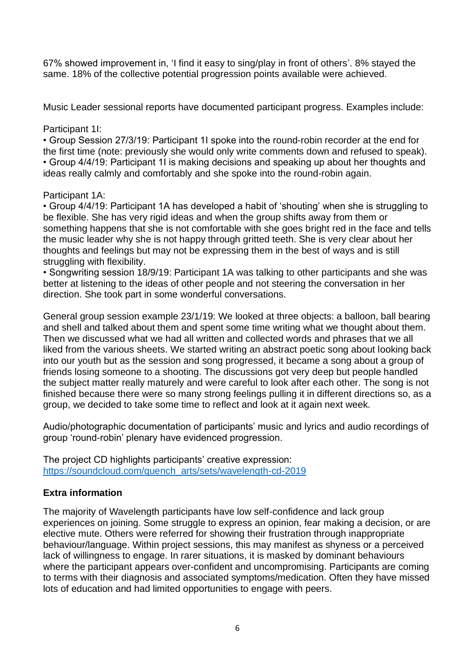67% showed improvement in, 'I find it easy to sing/play in front of others'. 8% stayed the same. 18% of the collective potential progression points available were achieved.

Music Leader sessional reports have documented participant progress. Examples include:

# Participant 1I:

• Group Session 27/3/19: Participant 1I spoke into the round-robin recorder at the end for the first time (note: previously she would only write comments down and refused to speak). • Group 4/4/19: Participant 1I is making decisions and speaking up about her thoughts and ideas really calmly and comfortably and she spoke into the round-robin again.

# Participant 1A:

• Group 4/4/19: Participant 1A has developed a habit of 'shouting' when she is struggling to be flexible. She has very rigid ideas and when the group shifts away from them or something happens that she is not comfortable with she goes bright red in the face and tells the music leader why she is not happy through gritted teeth. She is very clear about her thoughts and feelings but may not be expressing them in the best of ways and is still struggling with flexibility.

• Songwriting session 18/9/19: Participant 1A was talking to other participants and she was better at listening to the ideas of other people and not steering the conversation in her direction. She took part in some wonderful conversations.

General group session example 23/1/19: We looked at three objects: a balloon, ball bearing and shell and talked about them and spent some time writing what we thought about them. Then we discussed what we had all written and collected words and phrases that we all liked from the various sheets. We started writing an abstract poetic song about looking back into our youth but as the session and song progressed, it became a song about a group of friends losing someone to a shooting. The discussions got very deep but people handled the subject matter really maturely and were careful to look after each other. The song is not finished because there were so many strong feelings pulling it in different directions so, as a group, we decided to take some time to reflect and look at it again next week.

Audio/photographic documentation of participants' music and lyrics and audio recordings of group 'round-robin' plenary have evidenced progression.

The project CD highlights participants' creative expression: [https://soundcloud.com/quench\\_arts/sets/wavelength-cd-2019](https://soundcloud.com/quench_arts/sets/wavelength-cd-2019)

# **Extra information**

The majority of Wavelength participants have low self-confidence and lack group experiences on joining. Some struggle to express an opinion, fear making a decision, or are elective mute. Others were referred for showing their frustration through inappropriate behaviour/language. Within project sessions, this may manifest as shyness or a perceived lack of willingness to engage. In rarer situations, it is masked by dominant behaviours where the participant appears over-confident and uncompromising. Participants are coming to terms with their diagnosis and associated symptoms/medication. Often they have missed lots of education and had limited opportunities to engage with peers.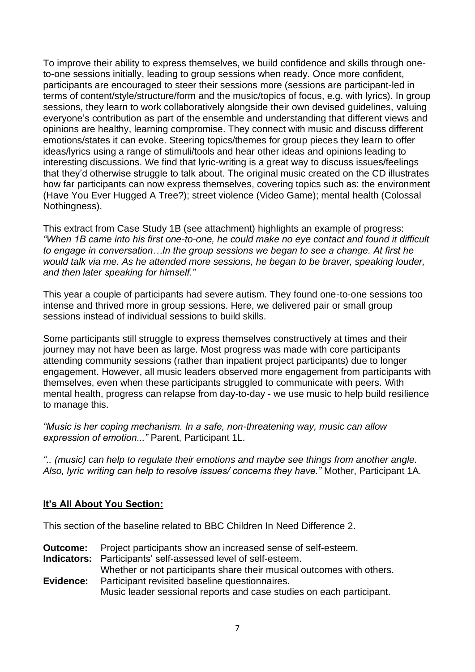To improve their ability to express themselves, we build confidence and skills through oneto-one sessions initially, leading to group sessions when ready. Once more confident, participants are encouraged to steer their sessions more (sessions are participant-led in terms of content/style/structure/form and the music/topics of focus, e.g. with lyrics). In group sessions, they learn to work collaboratively alongside their own devised guidelines, valuing everyone's contribution as part of the ensemble and understanding that different views and opinions are healthy, learning compromise. They connect with music and discuss different emotions/states it can evoke. Steering topics/themes for group pieces they learn to offer ideas/lyrics using a range of stimuli/tools and hear other ideas and opinions leading to interesting discussions. We find that lyric-writing is a great way to discuss issues/feelings that they'd otherwise struggle to talk about. The original music created on the CD illustrates how far participants can now express themselves, covering topics such as: the environment (Have You Ever Hugged A Tree?); street violence (Video Game); mental health (Colossal Nothingness).

This extract from Case Study 1B (see attachment) highlights an example of progress: *"When 1B came into his first one-to-one, he could make no eye contact and found it difficult to engage in conversation…In the group sessions we began to see a change. At first he would talk via me. As he attended more sessions, he began to be braver, speaking louder, and then later speaking for himself."*

This year a couple of participants had severe autism. They found one-to-one sessions too intense and thrived more in group sessions. Here, we delivered pair or small group sessions instead of individual sessions to build skills.

Some participants still struggle to express themselves constructively at times and their journey may not have been as large. Most progress was made with core participants attending community sessions (rather than inpatient project participants) due to longer engagement. However, all music leaders observed more engagement from participants with themselves, even when these participants struggled to communicate with peers. With mental health, progress can relapse from day-to-day - we use music to help build resilience to manage this.

*"Music is her coping mechanism. In a safe, non-threatening way, music can allow expression of emotion..."* Parent, Participant 1L.

*".. (music) can help to regulate their emotions and maybe see things from another angle. Also, lyric writing can help to resolve issues/ concerns they have."* Mother, Participant 1A.

# **It's All About You Section:**

This section of the baseline related to BBC Children In Need Difference 2.

**Outcome:** Project participants show an increased sense of self-esteem. **Indicators:** Participants' self-assessed level of self-esteem. Whether or not participants share their musical outcomes with others. **Evidence:** Participant revisited baseline questionnaires. Music leader sessional reports and case studies on each participant.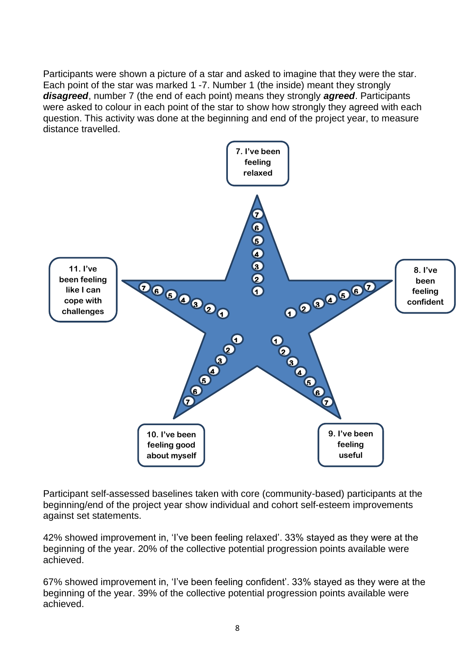Participants were shown a picture of a star and asked to imagine that they were the star. Each point of the star was marked 1 -7. Number 1 (the inside) meant they strongly *disagreed*, number 7 (the end of each point) means they strongly *agreed*. Participants were asked to colour in each point of the star to show how strongly they agreed with each question. This activity was done at the beginning and end of the project year, to measure distance travelled.



Participant self-assessed baselines taken with core (community-based) participants at the beginning/end of the project year show individual and cohort self-esteem improvements against set statements.

42% showed improvement in, 'I've been feeling relaxed'. 33% stayed as they were at the beginning of the year. 20% of the collective potential progression points available were achieved.

67% showed improvement in, 'I've been feeling confident'. 33% stayed as they were at the beginning of the year. 39% of the collective potential progression points available were achieved.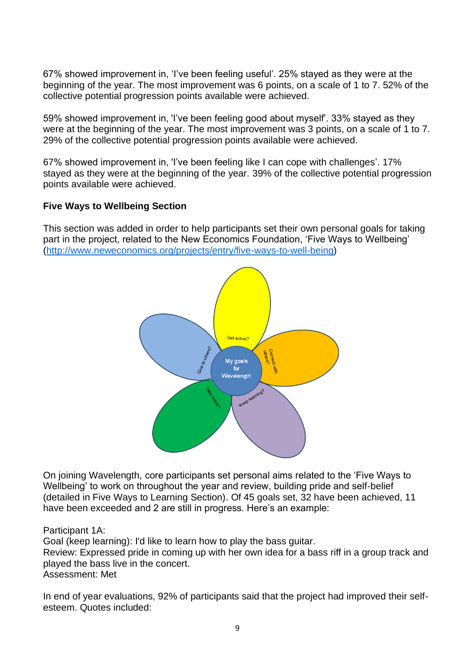67% showed improvement in, 'I've been feeling useful'. 25% stayed as they were at the beginning of the year. The most improvement was 6 points, on a scale of 1 to 7. 52% of the collective potential progression points available were achieved.

59% showed improvement in, 'I've been feeling good about myself'. 33% stayed as they were at the beginning of the year. The most improvement was 3 points, on a scale of 1 to 7. 29% of the collective potential progression points available were achieved.

67% showed improvement in, 'I've been feeling like I can cope with challenges'. 17% stayed as they were at the beginning of the year. 39% of the collective potential progression points available were achieved.

# **Five Ways to Wellbeing Section**

This section was added in order to help participants set their own personal goals for taking part in the project, related to the New Economics Foundation, 'Five Ways to Wellbeing' [\(http://www.neweconomics.org/projects/entry/five-ways-to-well-being\)](http://www.neweconomics.org/projects/entry/five-ways-to-well-being)



On joining Wavelength, core participants set personal aims related to the 'Five Ways to Wellbeing' to work on throughout the year and review, building pride and self-belief (detailed in Five Ways to Learning Section). Of 45 goals set, 32 have been achieved, 11 have been exceeded and 2 are still in progress. Here's an example:

Participant 1A:

Goal (keep learning): I'd like to learn how to play the bass guitar.

Review: Expressed pride in coming up with her own idea for a bass riff in a group track and played the bass live in the concert.

Assessment: Met

In end of year evaluations, 92% of participants said that the project had improved their selfesteem. Quotes included: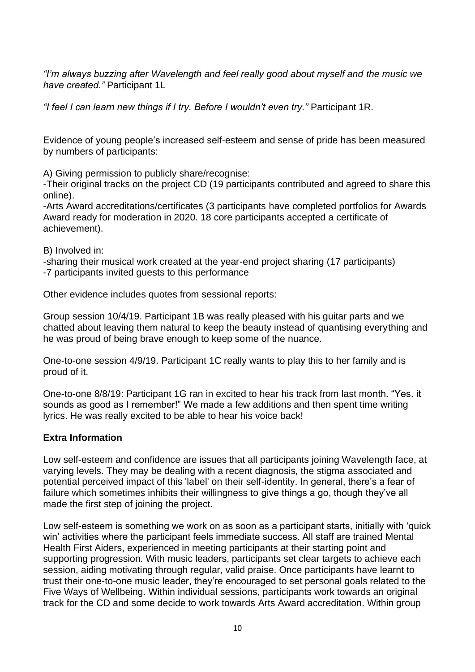*"I'm always buzzing after Wavelength and feel really good about myself and the music we have created."* Participant 1L

*"I feel I can learn new things if I try. Before I wouldn't even try."* Participant 1R.

Evidence of young people's increased self-esteem and sense of pride has been measured by numbers of participants:

A) Giving permission to publicly share/recognise:

-Their original tracks on the project CD (19 participants contributed and agreed to share this online).

-Arts Award accreditations/certificates (3 participants have completed portfolios for Awards Award ready for moderation in 2020. 18 core participants accepted a certificate of achievement).

B) Involved in:

-sharing their musical work created at the year-end project sharing (17 participants)

-7 participants invited guests to this performance

Other evidence includes quotes from sessional reports:

Group session 10/4/19. Participant 1B was really pleased with his guitar parts and we chatted about leaving them natural to keep the beauty instead of quantising everything and he was proud of being brave enough to keep some of the nuance.

One-to-one session 4/9/19. Participant 1C really wants to play this to her family and is proud of it.

One-to-one 8/8/19: Participant 1G ran in excited to hear his track from last month. "Yes. it sounds as good as I remember!" We made a few additions and then spent time writing lyrics. He was really excited to be able to hear his voice back!

## **Extra Information**

Low self-esteem and confidence are issues that all participants joining Wavelength face, at varying levels. They may be dealing with a recent diagnosis, the stigma associated and potential perceived impact of this 'label' on their self-identity. In general, there's a fear of failure which sometimes inhibits their willingness to give things a go, though they've all made the first step of joining the project.

Low self-esteem is something we work on as soon as a participant starts, initially with 'quick win' activities where the participant feels immediate success. All staff are trained Mental Health First Aiders, experienced in meeting participants at their starting point and supporting progression. With music leaders, participants set clear targets to achieve each session, aiding motivating through regular, valid praise. Once participants have learnt to trust their one-to-one music leader, they're encouraged to set personal goals related to the Five Ways of Wellbeing. Within individual sessions, participants work towards an original track for the CD and some decide to work towards Arts Award accreditation. Within group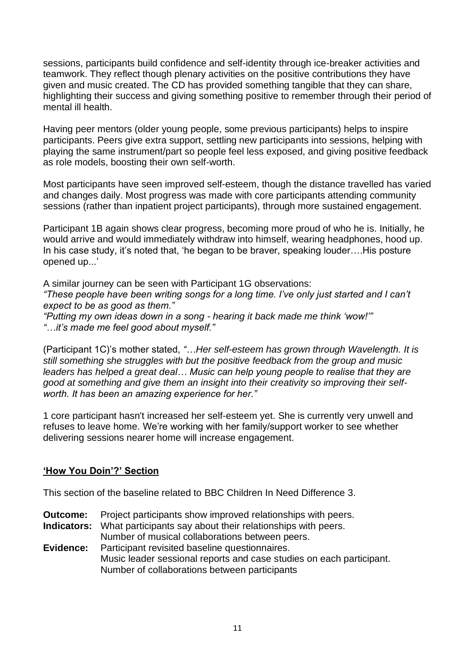sessions, participants build confidence and self-identity through ice-breaker activities and teamwork. They reflect though plenary activities on the positive contributions they have given and music created. The CD has provided something tangible that they can share, highlighting their success and giving something positive to remember through their period of mental ill health.

Having peer mentors (older young people, some previous participants) helps to inspire participants. Peers give extra support, settling new participants into sessions, helping with playing the same instrument/part so people feel less exposed, and giving positive feedback as role models, boosting their own self-worth.

Most participants have seen improved self-esteem, though the distance travelled has varied and changes daily. Most progress was made with core participants attending community sessions (rather than inpatient project participants), through more sustained engagement.

Participant 1B again shows clear progress, becoming more proud of who he is. Initially, he would arrive and would immediately withdraw into himself, wearing headphones, hood up. In his case study, it's noted that, 'he began to be braver, speaking louder….His posture opened up...'

A similar journey can be seen with Participant 1G observations: *"These people have been writing songs for a long time. I've only just started and I can't expect to be as good as them." "Putting my own ideas down in a song - hearing it back made me think 'wow!'" "…it's made me feel good about myself."*

(Participant 1C)'s mother stated, *"…Her self-esteem has grown through Wavelength. It is still something she struggles with but the positive feedback from the group and music leaders has helped a great deal… Music can help young people to realise that they are good at something and give them an insight into their creativity so improving their selfworth. It has been an amazing experience for her."*

1 core participant hasn't increased her self-esteem yet. She is currently very unwell and refuses to leave home. We're working with her family/support worker to see whether delivering sessions nearer home will increase engagement.

# **'How You Doin'?' Section**

This section of the baseline related to BBC Children In Need Difference 3.

- **Outcome:** Project participants show improved relationships with peers.
- **Indicators:** What participants say about their relationships with peers. Number of musical collaborations between peers.

**Evidence:** Participant revisited baseline questionnaires. Music leader sessional reports and case studies on each participant. Number of collaborations between participants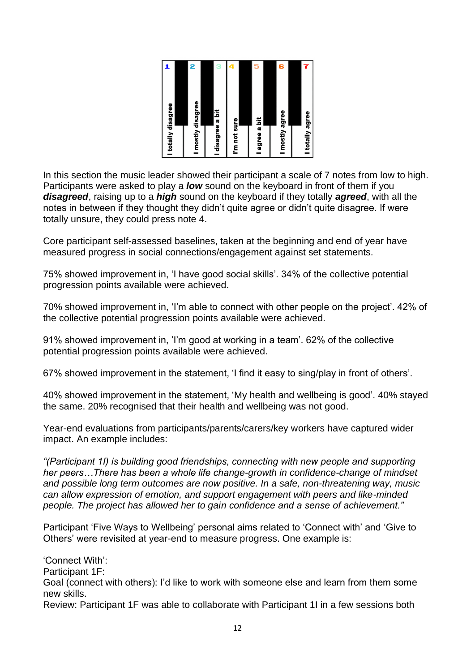| I totally disagree |   |
|--------------------|---|
|                    |   |
| I mostly disagree  | z |
|                    |   |
| I disagree a bit   | э |
| I'm not sure       |   |
|                    |   |
| agree a bit        | 5 |
|                    |   |
| I mostly agree     | 6 |
|                    |   |
| I totally agree    |   |
|                    |   |

In this section the music leader showed their participant a scale of 7 notes from low to high. Participants were asked to play a *low* sound on the keyboard in front of them if you *disagreed*, raising up to a *high* sound on the keyboard if they totally *agreed*, with all the notes in between if they thought they didn't quite agree or didn't quite disagree. If were totally unsure, they could press note 4.

Core participant self-assessed baselines, taken at the beginning and end of year have measured progress in social connections/engagement against set statements.

75% showed improvement in, 'I have good social skills'. 34% of the collective potential progression points available were achieved.

70% showed improvement in, 'I'm able to connect with other people on the project'. 42% of the collective potential progression points available were achieved.

91% showed improvement in, 'I'm good at working in a team'. 62% of the collective potential progression points available were achieved.

67% showed improvement in the statement, 'I find it easy to sing/play in front of others'.

40% showed improvement in the statement, 'My health and wellbeing is good'. 40% stayed the same. 20% recognised that their health and wellbeing was not good.

Year-end evaluations from participants/parents/carers/key workers have captured wider impact. An example includes:

*"(Participant 1I) is building good friendships, connecting with new people and supporting her peers…There has been a whole life change-growth in confidence-change of mindset and possible long term outcomes are now positive. In a safe, non-threatening way, music can allow expression of emotion, and support engagement with peers and like-minded people. The project has allowed her to gain confidence and a sense of achievement."*

Participant 'Five Ways to Wellbeing' personal aims related to 'Connect with' and 'Give to Others' were revisited at year-end to measure progress. One example is:

'Connect With': Participant 1F: Goal (connect with others): I'd like to work with someone else and learn from them some new skills.

Review: Participant 1F was able to collaborate with Participant 1I in a few sessions both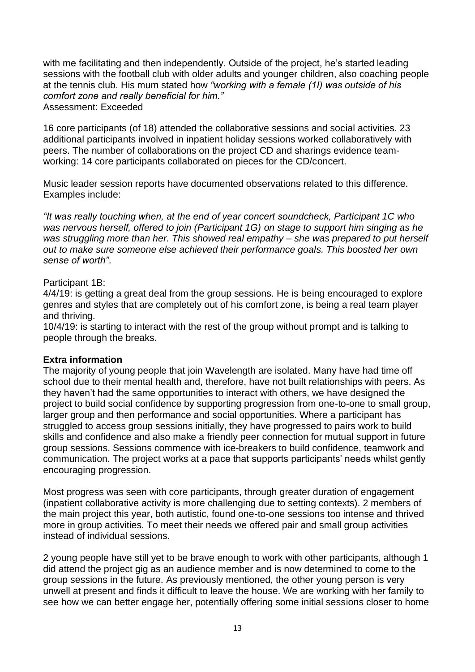with me facilitating and then independently. Outside of the project, he's started leading sessions with the football club with older adults and younger children, also coaching people at the tennis club. His mum stated how *"working with a female (1I) was outside of his comfort zone and really beneficial for him."* Assessment: Exceeded

16 core participants (of 18) attended the collaborative sessions and social activities. 23 additional participants involved in inpatient holiday sessions worked collaboratively with peers. The number of collaborations on the project CD and sharings evidence teamworking: 14 core participants collaborated on pieces for the CD/concert.

Music leader session reports have documented observations related to this difference. Examples include:

*"It was really touching when, at the end of year concert soundcheck, Participant 1C who was nervous herself, offered to join (Participant 1G) on stage to support him singing as he was struggling more than her. This showed real empathy – she was prepared to put herself out to make sure someone else achieved their performance goals. This boosted her own sense of worth"*.

# Participant 1B:

4/4/19: is getting a great deal from the group sessions. He is being encouraged to explore genres and styles that are completely out of his comfort zone, is being a real team player and thriving.

10/4/19: is starting to interact with the rest of the group without prompt and is talking to people through the breaks.

## **Extra information**

The majority of young people that join Wavelength are isolated. Many have had time off school due to their mental health and, therefore, have not built relationships with peers. As they haven't had the same opportunities to interact with others, we have designed the project to build social confidence by supporting progression from one-to-one to small group, larger group and then performance and social opportunities. Where a participant has struggled to access group sessions initially, they have progressed to pairs work to build skills and confidence and also make a friendly peer connection for mutual support in future group sessions. Sessions commence with ice-breakers to build confidence, teamwork and communication. The project works at a pace that supports participants' needs whilst gently encouraging progression.

Most progress was seen with core participants, through greater duration of engagement (inpatient collaborative activity is more challenging due to setting contexts). 2 members of the main project this year, both autistic, found one-to-one sessions too intense and thrived more in group activities. To meet their needs we offered pair and small group activities instead of individual sessions.

2 young people have still yet to be brave enough to work with other participants, although 1 did attend the project gig as an audience member and is now determined to come to the group sessions in the future. As previously mentioned, the other young person is very unwell at present and finds it difficult to leave the house. We are working with her family to see how we can better engage her, potentially offering some initial sessions closer to home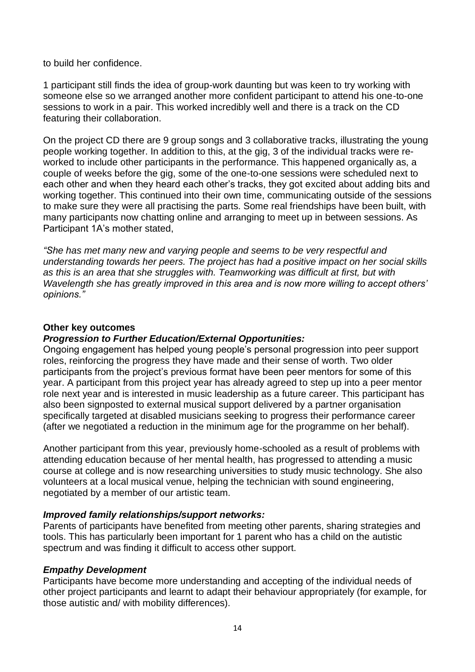to build her confidence.

1 participant still finds the idea of group-work daunting but was keen to try working with someone else so we arranged another more confident participant to attend his one-to-one sessions to work in a pair. This worked incredibly well and there is a track on the CD featuring their collaboration.

On the project CD there are 9 group songs and 3 collaborative tracks, illustrating the young people working together. In addition to this, at the gig, 3 of the individual tracks were reworked to include other participants in the performance. This happened organically as, a couple of weeks before the gig, some of the one-to-one sessions were scheduled next to each other and when they heard each other's tracks, they got excited about adding bits and working together. This continued into their own time, communicating outside of the sessions to make sure they were all practising the parts. Some real friendships have been built, with many participants now chatting online and arranging to meet up in between sessions. As Participant 1A's mother stated,

*"She has met many new and varying people and seems to be very respectful and understanding towards her peers. The project has had a positive impact on her social skills as this is an area that she struggles with. Teamworking was difficult at first, but with Wavelength she has greatly improved in this area and is now more willing to accept others' opinions."*

## **Other key outcomes**

# *Progression to Further Education/External Opportunities:*

Ongoing engagement has helped young people's personal progression into peer support roles, reinforcing the progress they have made and their sense of worth. Two older participants from the project's previous format have been peer mentors for some of this year. A participant from this project year has already agreed to step up into a peer mentor role next year and is interested in music leadership as a future career. This participant has also been signposted to external musical support delivered by a partner organisation specifically targeted at disabled musicians seeking to progress their performance career (after we negotiated a reduction in the minimum age for the programme on her behalf).

Another participant from this year, previously home-schooled as a result of problems with attending education because of her mental health, has progressed to attending a music course at college and is now researching universities to study music technology. She also volunteers at a local musical venue, helping the technician with sound engineering, negotiated by a member of our artistic team.

## *Improved family relationships/support networks:*

Parents of participants have benefited from meeting other parents, sharing strategies and tools. This has particularly been important for 1 parent who has a child on the autistic spectrum and was finding it difficult to access other support.

## *Empathy Development*

Participants have become more understanding and accepting of the individual needs of other project participants and learnt to adapt their behaviour appropriately (for example, for those autistic and/ with mobility differences).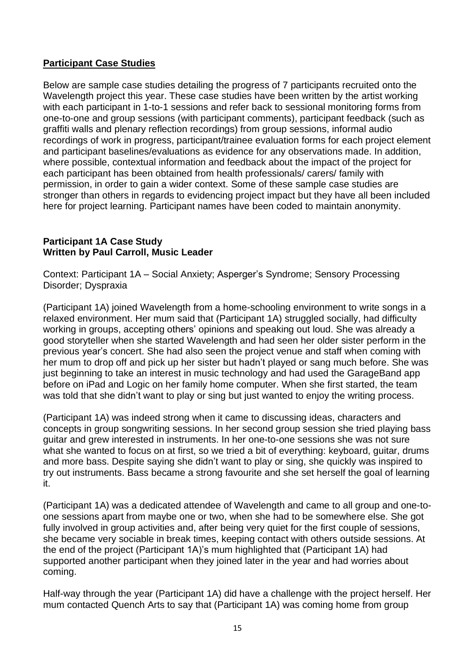# **Participant Case Studies**

Below are sample case studies detailing the progress of 7 participants recruited onto the Wavelength project this year. These case studies have been written by the artist working with each participant in 1-to-1 sessions and refer back to sessional monitoring forms from one-to-one and group sessions (with participant comments), participant feedback (such as graffiti walls and plenary reflection recordings) from group sessions, informal audio recordings of work in progress, participant/trainee evaluation forms for each project element and participant baselines/evaluations as evidence for any observations made. In addition, where possible, contextual information and feedback about the impact of the project for each participant has been obtained from health professionals/ carers/ family with permission, in order to gain a wider context. Some of these sample case studies are stronger than others in regards to evidencing project impact but they have all been included here for project learning. Participant names have been coded to maintain anonymity.

## **Participant 1A Case Study Written by Paul Carroll, Music Leader**

Context: Participant 1A – Social Anxiety; Asperger's Syndrome; Sensory Processing Disorder; Dyspraxia

(Participant 1A) joined Wavelength from a home-schooling environment to write songs in a relaxed environment. Her mum said that (Participant 1A) struggled socially, had difficulty working in groups, accepting others' opinions and speaking out loud. She was already a good storyteller when she started Wavelength and had seen her older sister perform in the previous year's concert. She had also seen the project venue and staff when coming with her mum to drop off and pick up her sister but hadn't played or sang much before. She was just beginning to take an interest in music technology and had used the GarageBand app before on iPad and Logic on her family home computer. When she first started, the team was told that she didn't want to play or sing but just wanted to enjoy the writing process.

(Participant 1A) was indeed strong when it came to discussing ideas, characters and concepts in group songwriting sessions. In her second group session she tried playing bass guitar and grew interested in instruments. In her one-to-one sessions she was not sure what she wanted to focus on at first, so we tried a bit of everything: keyboard, guitar, drums and more bass. Despite saying she didn't want to play or sing, she quickly was inspired to try out instruments. Bass became a strong favourite and she set herself the goal of learning it.

(Participant 1A) was a dedicated attendee of Wavelength and came to all group and one-toone sessions apart from maybe one or two, when she had to be somewhere else. She got fully involved in group activities and, after being very quiet for the first couple of sessions, she became very sociable in break times, keeping contact with others outside sessions. At the end of the project (Participant 1A)'s mum highlighted that (Participant 1A) had supported another participant when they joined later in the year and had worries about coming.

Half-way through the year (Participant 1A) did have a challenge with the project herself. Her mum contacted Quench Arts to say that (Participant 1A) was coming home from group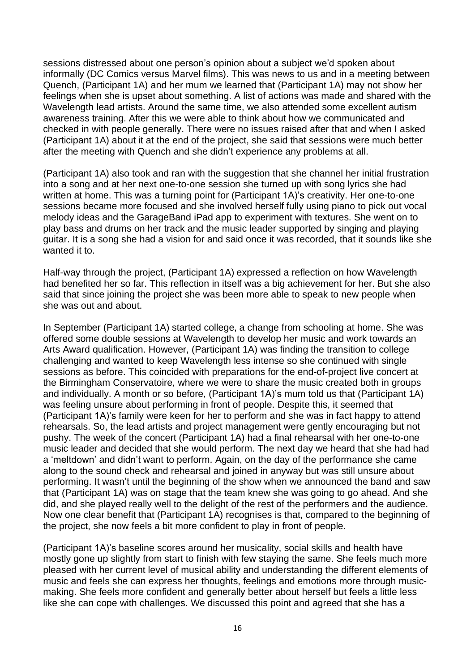sessions distressed about one person's opinion about a subject we'd spoken about informally (DC Comics versus Marvel films). This was news to us and in a meeting between Quench, (Participant 1A) and her mum we learned that (Participant 1A) may not show her feelings when she is upset about something. A list of actions was made and shared with the Wavelength lead artists. Around the same time, we also attended some excellent autism awareness training. After this we were able to think about how we communicated and checked in with people generally. There were no issues raised after that and when I asked (Participant 1A) about it at the end of the project, she said that sessions were much better after the meeting with Quench and she didn't experience any problems at all.

(Participant 1A) also took and ran with the suggestion that she channel her initial frustration into a song and at her next one-to-one session she turned up with song lyrics she had written at home. This was a turning point for (Participant 1A)'s creativity. Her one-to-one sessions became more focused and she involved herself fully using piano to pick out vocal melody ideas and the GarageBand iPad app to experiment with textures. She went on to play bass and drums on her track and the music leader supported by singing and playing guitar. It is a song she had a vision for and said once it was recorded, that it sounds like she wanted it to.

Half-way through the project, (Participant 1A) expressed a reflection on how Wavelength had benefited her so far. This reflection in itself was a big achievement for her. But she also said that since joining the project she was been more able to speak to new people when she was out and about.

In September (Participant 1A) started college, a change from schooling at home. She was offered some double sessions at Wavelength to develop her music and work towards an Arts Award qualification. However, (Participant 1A) was finding the transition to college challenging and wanted to keep Wavelength less intense so she continued with single sessions as before. This coincided with preparations for the end-of-project live concert at the Birmingham Conservatoire, where we were to share the music created both in groups and individually. A month or so before, (Participant 1A)'s mum told us that (Participant 1A) was feeling unsure about performing in front of people. Despite this, it seemed that (Participant 1A)'s family were keen for her to perform and she was in fact happy to attend rehearsals. So, the lead artists and project management were gently encouraging but not pushy. The week of the concert (Participant 1A) had a final rehearsal with her one-to-one music leader and decided that she would perform. The next day we heard that she had had a 'meltdown' and didn't want to perform. Again, on the day of the performance she came along to the sound check and rehearsal and joined in anyway but was still unsure about performing. It wasn't until the beginning of the show when we announced the band and saw that (Participant 1A) was on stage that the team knew she was going to go ahead. And she did, and she played really well to the delight of the rest of the performers and the audience. Now one clear benefit that (Participant 1A) recognises is that, compared to the beginning of the project, she now feels a bit more confident to play in front of people.

(Participant 1A)'s baseline scores around her musicality, social skills and health have mostly gone up slightly from start to finish with few staying the same. She feels much more pleased with her current level of musical ability and understanding the different elements of music and feels she can express her thoughts, feelings and emotions more through musicmaking. She feels more confident and generally better about herself but feels a little less like she can cope with challenges. We discussed this point and agreed that she has a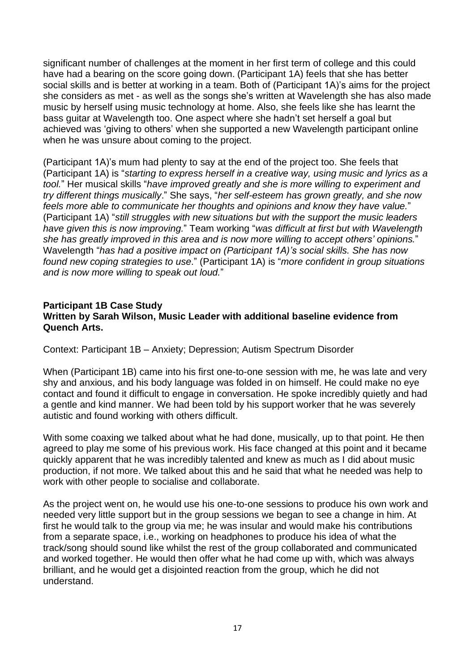significant number of challenges at the moment in her first term of college and this could have had a bearing on the score going down. (Participant 1A) feels that she has better social skills and is better at working in a team. Both of (Participant 1A)'s aims for the project she considers as met - as well as the songs she's written at Wavelength she has also made music by herself using music technology at home. Also, she feels like she has learnt the bass guitar at Wavelength too. One aspect where she hadn't set herself a goal but achieved was 'giving to others' when she supported a new Wavelength participant online when he was unsure about coming to the project.

(Participant 1A)'s mum had plenty to say at the end of the project too. She feels that (Participant 1A) is "*starting to express herself in a creative way, using music and lyrics as a tool.*" Her musical skills "*have improved greatly and she is more willing to experiment and try different things musically*." She says, "*her self-esteem has grown greatly, and she now feels more able to communicate her thoughts and opinions and know they have value.*" (Participant 1A) "*still struggles with new situations but with the support the music leaders have given this is now improving.*" Team working "*was difficult at first but with Wavelength she has greatly improved in this area and is now more willing to accept others' opinions.*" Wavelength "*has had a positive impact on (Participant 1A)'s social skills. She has now found new coping strategies to use*." (Participant 1A) is "*more confident in group situations and is now more willing to speak out loud.*"

## **Participant 1B Case Study Written by Sarah Wilson, Music Leader with additional baseline evidence from Quench Arts.**

Context: Participant 1B – Anxiety; Depression; Autism Spectrum Disorder

When (Participant 1B) came into his first one-to-one session with me, he was late and very shy and anxious, and his body language was folded in on himself. He could make no eye contact and found it difficult to engage in conversation. He spoke incredibly quietly and had a gentle and kind manner. We had been told by his support worker that he was severely autistic and found working with others difficult.

With some coaxing we talked about what he had done, musically, up to that point. He then agreed to play me some of his previous work. His face changed at this point and it became quickly apparent that he was incredibly talented and knew as much as I did about music production, if not more. We talked about this and he said that what he needed was help to work with other people to socialise and collaborate.

As the project went on, he would use his one-to-one sessions to produce his own work and needed very little support but in the group sessions we began to see a change in him. At first he would talk to the group via me; he was insular and would make his contributions from a separate space, i.e., working on headphones to produce his idea of what the track/song should sound like whilst the rest of the group collaborated and communicated and worked together. He would then offer what he had come up with, which was always brilliant, and he would get a disjointed reaction from the group, which he did not understand.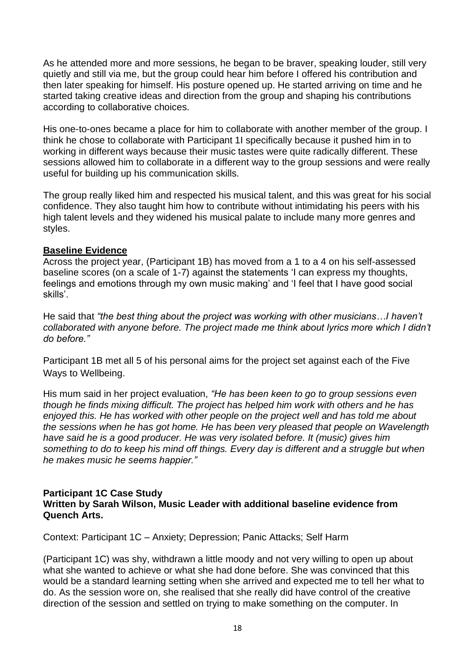As he attended more and more sessions, he began to be braver, speaking louder, still very quietly and still via me, but the group could hear him before I offered his contribution and then later speaking for himself. His posture opened up. He started arriving on time and he started taking creative ideas and direction from the group and shaping his contributions according to collaborative choices.

His one-to-ones became a place for him to collaborate with another member of the group. I think he chose to collaborate with Participant 1I specifically because it pushed him in to working in different ways because their music tastes were quite radically different. These sessions allowed him to collaborate in a different way to the group sessions and were really useful for building up his communication skills.

The group really liked him and respected his musical talent, and this was great for his social confidence. They also taught him how to contribute without intimidating his peers with his high talent levels and they widened his musical palate to include many more genres and styles.

# **Baseline Evidence**

Across the project year, (Participant 1B) has moved from a 1 to a 4 on his self-assessed baseline scores (on a scale of 1-7) against the statements 'I can express my thoughts, feelings and emotions through my own music making' and 'I feel that I have good social skills'.

He said that *"the best thing about the project was working with other musicians…I haven't collaborated with anyone before. The project made me think about lyrics more which I didn't do before."*

Participant 1B met all 5 of his personal aims for the project set against each of the Five Ways to Wellbeing.

His mum said in her project evaluation, *"He has been keen to go to group sessions even though he finds mixing difficult. The project has helped him work with others and he has enjoyed this. He has worked with other people on the project well and has told me about the sessions when he has got home. He has been very pleased that people on Wavelength have said he is a good producer. He was very isolated before. It (music) gives him something to do to keep his mind off things. Every day is different and a struggle but when he makes music he seems happier."*

#### **Participant 1C Case Study Written by Sarah Wilson, Music Leader with additional baseline evidence from Quench Arts.**

Context: Participant 1C – Anxiety; Depression; Panic Attacks; Self Harm

(Participant 1C) was shy, withdrawn a little moody and not very willing to open up about what she wanted to achieve or what she had done before. She was convinced that this would be a standard learning setting when she arrived and expected me to tell her what to do. As the session wore on, she realised that she really did have control of the creative direction of the session and settled on trying to make something on the computer. In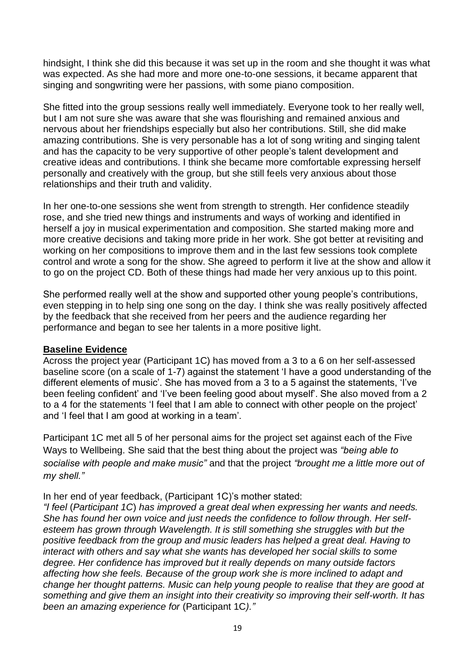hindsight, I think she did this because it was set up in the room and she thought it was what was expected. As she had more and more one-to-one sessions, it became apparent that singing and songwriting were her passions, with some piano composition.

She fitted into the group sessions really well immediately. Everyone took to her really well, but I am not sure she was aware that she was flourishing and remained anxious and nervous about her friendships especially but also her contributions. Still, she did make amazing contributions. She is very personable has a lot of song writing and singing talent and has the capacity to be very supportive of other people's talent development and creative ideas and contributions. I think she became more comfortable expressing herself personally and creatively with the group, but she still feels very anxious about those relationships and their truth and validity.

In her one-to-one sessions she went from strength to strength. Her confidence steadily rose, and she tried new things and instruments and ways of working and identified in herself a joy in musical experimentation and composition. She started making more and more creative decisions and taking more pride in her work. She got better at revisiting and working on her compositions to improve them and in the last few sessions took complete control and wrote a song for the show. She agreed to perform it live at the show and allow it to go on the project CD. Both of these things had made her very anxious up to this point.

She performed really well at the show and supported other young people's contributions, even stepping in to help sing one song on the day. I think she was really positively affected by the feedback that she received from her peers and the audience regarding her performance and began to see her talents in a more positive light.

## **Baseline Evidence**

Across the project year (Participant 1C) has moved from a 3 to a 6 on her self-assessed baseline score (on a scale of 1-7) against the statement 'I have a good understanding of the different elements of music'. She has moved from a 3 to a 5 against the statements, 'I've been feeling confident' and 'I've been feeling good about myself'. She also moved from a 2 to a 4 for the statements 'I feel that I am able to connect with other people on the project' and 'I feel that I am good at working in a team'.

Participant 1C met all 5 of her personal aims for the project set against each of the Five Ways to Wellbeing. She said that the best thing about the project was *"being able to socialise with people and make music"* and that the project *"brought me a little more out of my shell."*

In her end of year feedback, (Participant 1C)'s mother stated:

*"I feel* (*Participant 1C*) *has improved a great deal when expressing her wants and needs. She has found her own voice and just needs the confidence to follow through. Her self*esteem has grown through Wavelength. It is still something she struggles with but the *positive feedback from the group and music leaders has helped a great deal. Having to interact with others and say what she wants has developed her social skills to some degree. Her confidence has improved but it really depends on many outside factors affecting how she feels. Because of the group work she is more inclined to adapt and change her thought patterns. Music can help young people to realise that they are good at something and give them an insight into their creativity so improving their self-worth. It has been an amazing experience for* (Participant 1C*)."*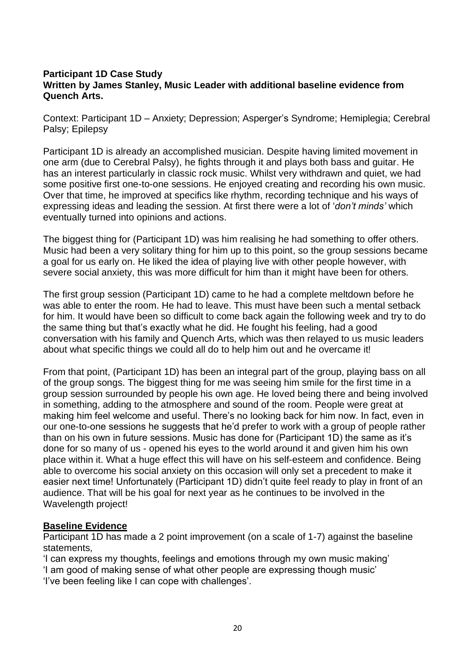## **Participant 1D Case Study Written by James Stanley, Music Leader with additional baseline evidence from Quench Arts.**

Context: Participant 1D – Anxiety; Depression; Asperger's Syndrome; Hemiplegia; Cerebral Palsy; Epilepsy

Participant 1D is already an accomplished musician. Despite having limited movement in one arm (due to Cerebral Palsy), he fights through it and plays both bass and guitar. He has an interest particularly in classic rock music. Whilst very withdrawn and quiet, we had some positive first one-to-one sessions. He enjoyed creating and recording his own music. Over that time, he improved at specifics like rhythm, recording technique and his ways of expressing ideas and leading the session. At first there were a lot of '*don't minds'* which eventually turned into opinions and actions.

The biggest thing for (Participant 1D) was him realising he had something to offer others. Music had been a very solitary thing for him up to this point, so the group sessions became a goal for us early on. He liked the idea of playing live with other people however, with severe social anxiety, this was more difficult for him than it might have been for others.

The first group session (Participant 1D) came to he had a complete meltdown before he was able to enter the room. He had to leave. This must have been such a mental setback for him. It would have been so difficult to come back again the following week and try to do the same thing but that's exactly what he did. He fought his feeling, had a good conversation with his family and Quench Arts, which was then relayed to us music leaders about what specific things we could all do to help him out and he overcame it!

From that point, (Participant 1D) has been an integral part of the group, playing bass on all of the group songs. The biggest thing for me was seeing him smile for the first time in a group session surrounded by people his own age. He loved being there and being involved in something, adding to the atmosphere and sound of the room. People were great at making him feel welcome and useful. There's no looking back for him now. In fact, even in our one-to-one sessions he suggests that he'd prefer to work with a group of people rather than on his own in future sessions. Music has done for (Participant 1D) the same as it's done for so many of us - opened his eyes to the world around it and given him his own place within it. What a huge effect this will have on his self-esteem and confidence. Being able to overcome his social anxiety on this occasion will only set a precedent to make it easier next time! Unfortunately (Participant 1D) didn't quite feel ready to play in front of an audience. That will be his goal for next year as he continues to be involved in the Wavelength project!

## **Baseline Evidence**

Participant 1D has made a 2 point improvement (on a scale of 1-7) against the baseline statements,

'I can express my thoughts, feelings and emotions through my own music making' 'I am good of making sense of what other people are expressing though music' 'I've been feeling like I can cope with challenges'.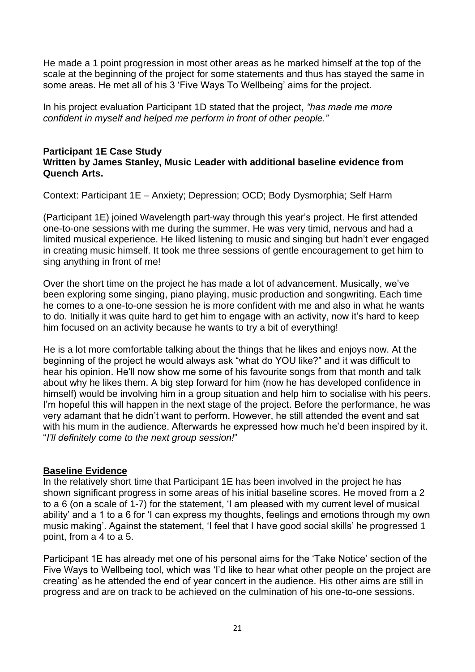He made a 1 point progression in most other areas as he marked himself at the top of the scale at the beginning of the project for some statements and thus has stayed the same in some areas. He met all of his 3 'Five Ways To Wellbeing' aims for the project.

In his project evaluation Participant 1D stated that the project, *"has made me more confident in myself and helped me perform in front of other people."*

#### **Participant 1E Case Study Written by James Stanley, Music Leader with additional baseline evidence from Quench Arts.**

Context: Participant 1E – Anxiety; Depression; OCD; Body Dysmorphia; Self Harm

(Participant 1E) joined Wavelength part-way through this year's project. He first attended one-to-one sessions with me during the summer. He was very timid, nervous and had a limited musical experience. He liked listening to music and singing but hadn't ever engaged in creating music himself. It took me three sessions of gentle encouragement to get him to sing anything in front of me!

Over the short time on the project he has made a lot of advancement. Musically, we've been exploring some singing, piano playing, music production and songwriting. Each time he comes to a one-to-one session he is more confident with me and also in what he wants to do. Initially it was quite hard to get him to engage with an activity, now it's hard to keep him focused on an activity because he wants to try a bit of everything!

He is a lot more comfortable talking about the things that he likes and enjoys now. At the beginning of the project he would always ask "what do YOU like?" and it was difficult to hear his opinion. He'll now show me some of his favourite songs from that month and talk about why he likes them. A big step forward for him (now he has developed confidence in himself) would be involving him in a group situation and help him to socialise with his peers. I'm hopeful this will happen in the next stage of the project. Before the performance, he was very adamant that he didn't want to perform. However, he still attended the event and sat with his mum in the audience. Afterwards he expressed how much he'd been inspired by it. "*I'll definitely come to the next group session!*"

## **Baseline Evidence**

In the relatively short time that Participant 1E has been involved in the project he has shown significant progress in some areas of his initial baseline scores. He moved from a 2 to a 6 (on a scale of 1-7) for the statement, 'I am pleased with my current level of musical ability' and a 1 to a 6 for 'I can express my thoughts, feelings and emotions through my own music making'. Against the statement, 'I feel that I have good social skills' he progressed 1 point, from a 4 to a 5.

Participant 1E has already met one of his personal aims for the 'Take Notice' section of the Five Ways to Wellbeing tool, which was 'I'd like to hear what other people on the project are creating' as he attended the end of year concert in the audience. His other aims are still in progress and are on track to be achieved on the culmination of his one-to-one sessions.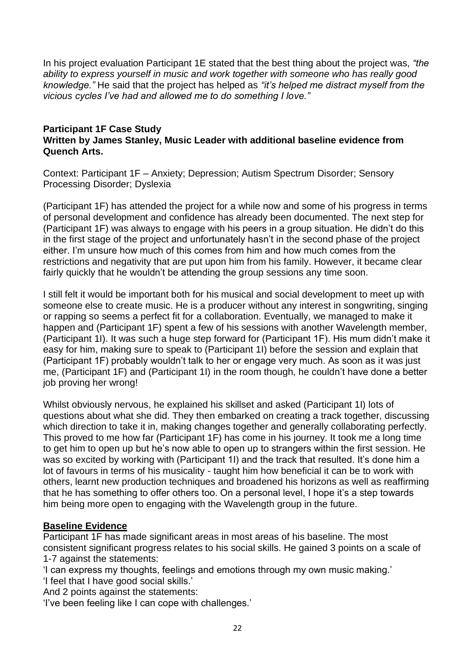In his project evaluation Participant 1E stated that the best thing about the project was, *"the ability to express yourself in music and work together with someone who has really good knowledge."* He said that the project has helped as *"it's helped me distract myself from the vicious cycles I've had and allowed me to do something I love."*

#### **Participant 1F Case Study Written by James Stanley, Music Leader with additional baseline evidence from Quench Arts.**

Context: Participant 1F – Anxiety; Depression; Autism Spectrum Disorder; Sensory Processing Disorder; Dyslexia

(Participant 1F) has attended the project for a while now and some of his progress in terms of personal development and confidence has already been documented. The next step for (Participant 1F) was always to engage with his peers in a group situation. He didn't do this in the first stage of the project and unfortunately hasn't in the second phase of the project either. I'm unsure how much of this comes from him and how much comes from the restrictions and negativity that are put upon him from his family. However, it became clear fairly quickly that he wouldn't be attending the group sessions any time soon.

I still felt it would be important both for his musical and social development to meet up with someone else to create music. He is a producer without any interest in songwriting, singing or rapping so seems a perfect fit for a collaboration. Eventually, we managed to make it happen and (Participant 1F) spent a few of his sessions with another Wavelength member, (Participant 1I). It was such a huge step forward for (Participant 1F). His mum didn't make it easy for him, making sure to speak to (Participant 1I) before the session and explain that (Participant 1F) probably wouldn't talk to her or engage very much. As soon as it was just me, (Participant 1F) and (Participant 1I) in the room though, he couldn't have done a better job proving her wrong!

Whilst obviously nervous, he explained his skillset and asked (Participant 1I) lots of questions about what she did. They then embarked on creating a track together, discussing which direction to take it in, making changes together and generally collaborating perfectly. This proved to me how far (Participant 1F) has come in his journey. It took me a long time to get him to open up but he's now able to open up to strangers within the first session. He was so excited by working with (Participant 1I) and the track that resulted. It's done him a lot of favours in terms of his musicality - taught him how beneficial it can be to work with others, learnt new production techniques and broadened his horizons as well as reaffirming that he has something to offer others too. On a personal level, I hope it's a step towards him being more open to engaging with the Wavelength group in the future.

## **Baseline Evidence**

Participant 1F has made significant areas in most areas of his baseline. The most consistent significant progress relates to his social skills. He gained 3 points on a scale of 1-7 against the statements:

- 'I can express my thoughts, feelings and emotions through my own music making.'
- 'I feel that I have good social skills.'

And 2 points against the statements:

'I've been feeling like I can cope with challenges.'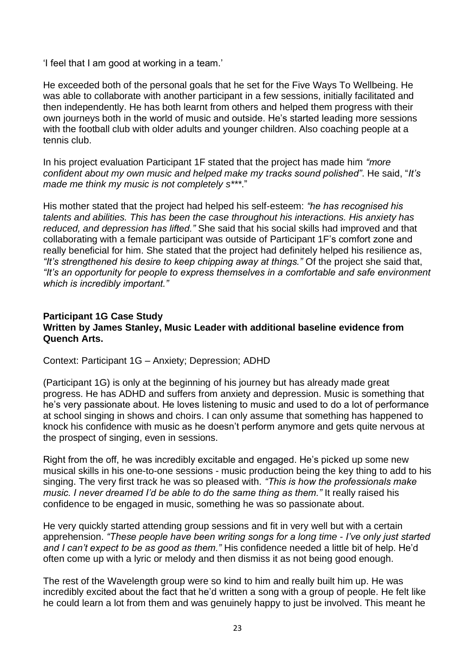'I feel that I am good at working in a team.'

He exceeded both of the personal goals that he set for the Five Ways To Wellbeing. He was able to collaborate with another participant in a few sessions, initially facilitated and then independently. He has both learnt from others and helped them progress with their own journeys both in the world of music and outside. He's started leading more sessions with the football club with older adults and younger children. Also coaching people at a tennis club.

In his project evaluation Participant 1F stated that the project has made him *"more confident about my own music and helped make my tracks sound polished"*. He said, "*It's made me think my music is not completely s\*\*\**."

His mother stated that the project had helped his self-esteem: *"he has recognised his talents and abilities. This has been the case throughout his interactions. His anxiety has reduced, and depression has lifted."* She said that his social skills had improved and that collaborating with a female participant was outside of Participant 1F's comfort zone and really beneficial for him. She stated that the project had definitely helped his resilience as, *"It's strengthened his desire to keep chipping away at things."* Of the project she said that, *"It's an opportunity for people to express themselves in a comfortable and safe environment which is incredibly important."*

## **Participant 1G Case Study Written by James Stanley, Music Leader with additional baseline evidence from Quench Arts.**

Context: Participant 1G – Anxiety; Depression; ADHD

(Participant 1G) is only at the beginning of his journey but has already made great progress. He has ADHD and suffers from anxiety and depression. Music is something that he's very passionate about. He loves listening to music and used to do a lot of performance at school singing in shows and choirs. I can only assume that something has happened to knock his confidence with music as he doesn't perform anymore and gets quite nervous at the prospect of singing, even in sessions.

Right from the off, he was incredibly excitable and engaged. He's picked up some new musical skills in his one-to-one sessions - music production being the key thing to add to his singing. The very first track he was so pleased with. *"This is how the professionals make music. I never dreamed I'd be able to do the same thing as them."* It really raised his confidence to be engaged in music, something he was so passionate about.

He very quickly started attending group sessions and fit in very well but with a certain apprehension. *"These people have been writing songs for a long time - I've only just started and I can't expect to be as good as them."* His confidence needed a little bit of help. He'd often come up with a lyric or melody and then dismiss it as not being good enough.

The rest of the Wavelength group were so kind to him and really built him up. He was incredibly excited about the fact that he'd written a song with a group of people. He felt like he could learn a lot from them and was genuinely happy to just be involved. This meant he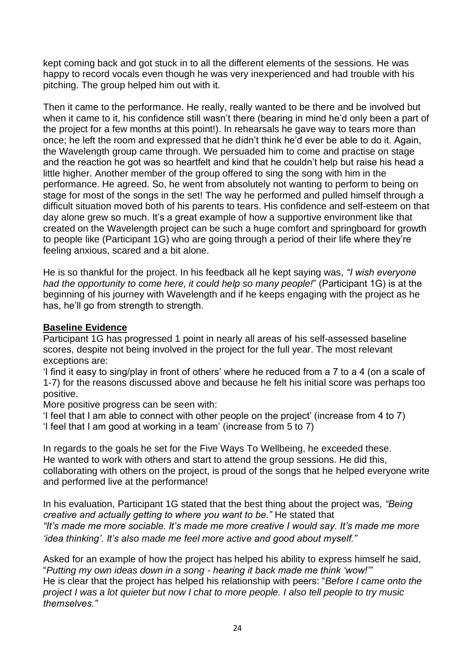kept coming back and got stuck in to all the different elements of the sessions. He was happy to record vocals even though he was very inexperienced and had trouble with his pitching. The group helped him out with it.

Then it came to the performance. He really, really wanted to be there and be involved but when it came to it, his confidence still wasn't there (bearing in mind he'd only been a part of the project for a few months at this point!). In rehearsals he gave way to tears more than once; he left the room and expressed that he didn't think he'd ever be able to do it. Again, the Wavelength group came through. We persuaded him to come and practise on stage and the reaction he got was so heartfelt and kind that he couldn't help but raise his head a little higher. Another member of the group offered to sing the song with him in the performance. He agreed. So, he went from absolutely not wanting to perform to being on stage for most of the songs in the set! The way he performed and pulled himself through a difficult situation moved both of his parents to tears. His confidence and self-esteem on that day alone grew so much. It's a great example of how a supportive environment like that created on the Wavelength project can be such a huge comfort and springboard for growth to people like (Participant 1G) who are going through a period of their life where they're feeling anxious, scared and a bit alone.

He is so thankful for the project. In his feedback all he kept saying was, *"I wish everyone had the opportunity to come here, it could help so many people!*" (Participant 1G) is at the beginning of his journey with Wavelength and if he keeps engaging with the project as he has, he'll go from strength to strength.

## **Baseline Evidence**

Participant 1G has progressed 1 point in nearly all areas of his self-assessed baseline scores, despite not being involved in the project for the full year. The most relevant exceptions are:

'I find it easy to sing/play in front of others' where he reduced from a 7 to a 4 (on a scale of 1-7) for the reasons discussed above and because he felt his initial score was perhaps too positive.

More positive progress can be seen with:

'I feel that I am able to connect with other people on the project' (increase from 4 to 7) 'I feel that I am good at working in a team' (increase from 5 to 7)

In regards to the goals he set for the Five Ways To Wellbeing, he exceeded these. He wanted to work with others and start to attend the group sessions. He did this, collaborating with others on the project, is proud of the songs that he helped everyone write and performed live at the performance!

In his evaluation, Participant 1G stated that the best thing about the project was, *"Being creative and actually getting to where you want to be."* He stated that *"It's made me more sociable. It's made me more creative I would say. It's made me more 'idea thinking'. It's also made me feel more active and good about myself."*

Asked for an example of how the project has helped his ability to express himself he said, "*Putting my own ideas down in a song - hearing it back made me think 'wow!'"* He is clear that the project has helped his relationship with peers: "*Before I came onto the project I was a lot quieter but now I chat to more people. I also tell people to try music themselves."*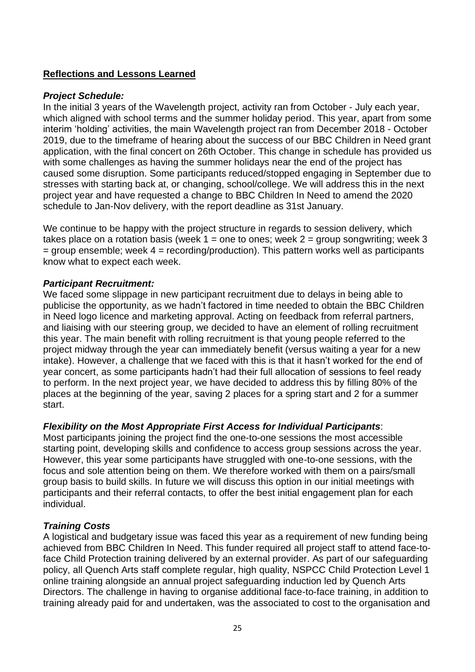# **Reflections and Lessons Learned**

## *Project Schedule:*

In the initial 3 years of the Wavelength project, activity ran from October - July each year, which aligned with school terms and the summer holiday period. This year, apart from some interim 'holding' activities, the main Wavelength project ran from December 2018 - October 2019, due to the timeframe of hearing about the success of our BBC Children in Need grant application, with the final concert on 26th October. This change in schedule has provided us with some challenges as having the summer holidays near the end of the project has caused some disruption. Some participants reduced/stopped engaging in September due to stresses with starting back at, or changing, school/college. We will address this in the next project year and have requested a change to BBC Children In Need to amend the 2020 schedule to Jan-Nov delivery, with the report deadline as 31st January.

We continue to be happy with the project structure in regards to session delivery, which takes place on a rotation basis (week  $1 =$  one to ones; week  $2 =$  group songwriting; week 3  $=$  group ensemble; week  $4 =$  recording/production). This pattern works well as participants know what to expect each week.

# *Participant Recruitment:*

We faced some slippage in new participant recruitment due to delays in being able to publicise the opportunity, as we hadn't factored in time needed to obtain the BBC Children in Need logo licence and marketing approval. Acting on feedback from referral partners, and liaising with our steering group, we decided to have an element of rolling recruitment this year. The main benefit with rolling recruitment is that young people referred to the project midway through the year can immediately benefit (versus waiting a year for a new intake). However, a challenge that we faced with this is that it hasn't worked for the end of year concert, as some participants hadn't had their full allocation of sessions to feel ready to perform. In the next project year, we have decided to address this by filling 80% of the places at the beginning of the year, saving 2 places for a spring start and 2 for a summer start.

# *Flexibility on the Most Appropriate First Access for Individual Participants*:

Most participants joining the project find the one-to-one sessions the most accessible starting point, developing skills and confidence to access group sessions across the year. However, this year some participants have struggled with one-to-one sessions, with the focus and sole attention being on them. We therefore worked with them on a pairs/small group basis to build skills. In future we will discuss this option in our initial meetings with participants and their referral contacts, to offer the best initial engagement plan for each individual.

# *Training Costs*

A logistical and budgetary issue was faced this year as a requirement of new funding being achieved from BBC Children In Need. This funder required all project staff to attend face-toface Child Protection training delivered by an external provider. As part of our safeguarding policy, all Quench Arts staff complete regular, high quality, NSPCC Child Protection Level 1 online training alongside an annual project safeguarding induction led by Quench Arts Directors. The challenge in having to organise additional face-to-face training, in addition to training already paid for and undertaken, was the associated to cost to the organisation and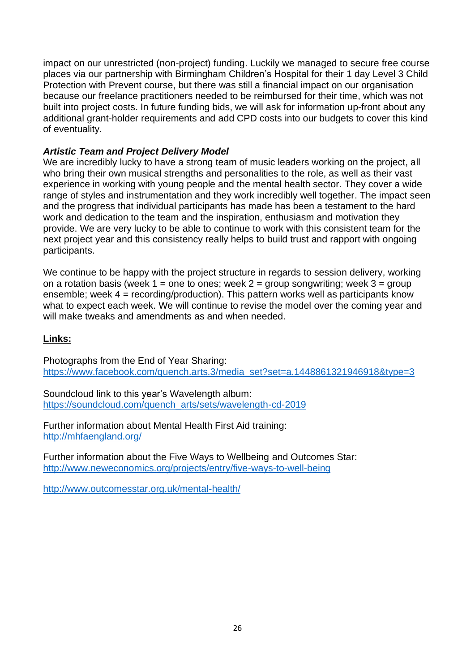impact on our unrestricted (non-project) funding. Luckily we managed to secure free course places via our partnership with Birmingham Children's Hospital for their 1 day Level 3 Child Protection with Prevent course, but there was still a financial impact on our organisation because our freelance practitioners needed to be reimbursed for their time, which was not built into project costs. In future funding bids, we will ask for information up-front about any additional grant-holder requirements and add CPD costs into our budgets to cover this kind of eventuality.

# *Artistic Team and Project Delivery Model*

We are incredibly lucky to have a strong team of music leaders working on the project, all who bring their own musical strengths and personalities to the role, as well as their vast experience in working with young people and the mental health sector. They cover a wide range of styles and instrumentation and they work incredibly well together. The impact seen and the progress that individual participants has made has been a testament to the hard work and dedication to the team and the inspiration, enthusiasm and motivation they provide. We are very lucky to be able to continue to work with this consistent team for the next project year and this consistency really helps to build trust and rapport with ongoing participants.

We continue to be happy with the project structure in regards to session delivery, working on a rotation basis (week  $1 =$  one to ones; week  $2 =$  group songwriting; week  $3 =$  group ensemble; week  $4 =$  recording/production). This pattern works well as participants know what to expect each week. We will continue to revise the model over the coming year and will make tweaks and amendments as and when needed.

# **Links:**

Photographs from the End of Year Sharing: [https://www.facebook.com/quench.arts.3/media\\_set?set=a.1448861321946918&type=3](https://www.facebook.com/quench.arts.3/media_set?set=a.1448861321946918&type=3)

Soundcloud link to this year's Wavelength album: [https://soundcloud.com/quench\\_arts/sets/wavelength-cd-2019](https://soundcloud.com/quench_arts/sets/wavelength-cd-2019)

Further information about Mental Health First Aid training: <http://mhfaengland.org/>

Further information about the Five Ways to Wellbeing and Outcomes Star: <http://www.neweconomics.org/projects/entry/five-ways-to-well-being>

<http://www.outcomesstar.org.uk/mental-health/>